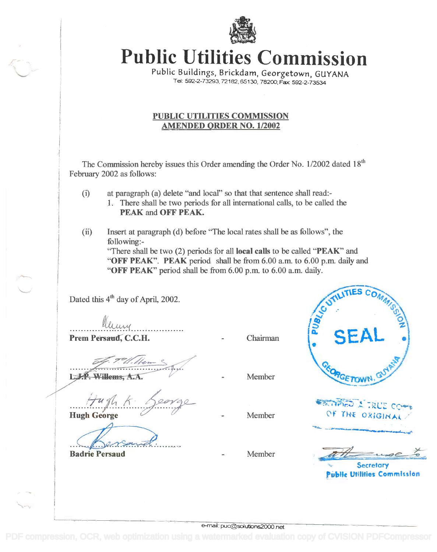

Public Utilities Commission **Public Utilities Commission**

Public Buildings, Brickdam, Georgetown, GUYANA Tel. 592-2-73293, 72182, 65130, 78200; Fax 592-2-73534 Public Buildings, Brickdam, Georgetown, GUYANA Tel: 592-2-73293, 72182, 65130, 78200; Fax: 592-2-7353

## PUBLIC UTILITIES COMMISSION PUBLIC UTILITIES COMMISSION AMENDED ORDER NO. 1/2002 AMENDED ORDER NO. 112002

The Commission hereby issues this Order amending the Order No. 1/2002 dated 18<sup>th</sup> February 2002 as follows: February 2002 as follows:

- (i) at paragraph (a) delete "and local" so that that sentence shall read: (i) atparagraph (a) delete "and local" so that that sentence shall read:- 1. There shall be two periods for all international calls, to be called the 1. There shall be two periods for all international calls, to be called the
- PEAK and OFF PEAK. (ii) Insert at paragraph (d) before "The local rates shall be as follows", the (ii) Insert at paragraph (d) before "The local rates shall be as follows", the

following: - following:- "There shall be two (2) periods for all local calls to be called "PEAK" and "There shall be two (2) periods for all local calls to be called "PEAK" and "OFF PEAK". PEAK period shall be from 6.00 a.m. to 6.00 p.m. daily and

"OFF PEAK" period shall be from 6.00 p.m. to 6.00 a.m. daily. "OFF PEAK" period shall be from 6.00 p.m. to 6.00 a.m. daily.

Dated this 4<sup>th</sup> day of April, 2002.

Prem Persaud, C.C.H. Chairman ............ ~ .

L.J.P. Willems, A.A.

Hugh George Hugh George *....I..r-j!l ..k:·Pr?-*

I

Badrie Persaud Member

Member

Member

TIES CO<sub>A</sub> UTILINE COMMISSION  $\frac{1}{2}$  $\cdot$  SEAL  $\cdot$ GETOWN **ERGIFICU A TRUE COMM** OF THE ORIGINAL

.\*11.11\*MMINO OM...NOW **Secretary**  $\overline{\mathscr{M}}$ 

Public Utilities Commission

e-mai: puc@solutions2000.net